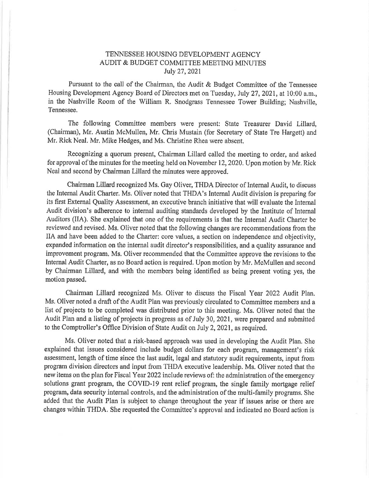# TENNESSEE HOUSING DEVELOPMENT AGENCY AUDIT & BUDGET COMMITTEE MEETING MINUTES Iuly 27,2021

Pursuant to the call of the Chairman, the Audit & Budget Committee of the Tennessee Housing Development Agency Board of Directors met on Tuesday, July 27, 2021, at 10:00 a,m., in the Nashville Room of the William R. Snodgrass Tennessee Tower Building; Nashville, Tennessee.

The following Comrnittee members were present: State Treasurer David Lillard, (Chairman), Mr. Austin McMullen, Mr. Chris Mustain (for Secretary of State Tre Hargett) and Mr, Rick Neal. Mr, Mike Hedges, and Ms. Christine Rhea were absent.

Recognizing a quorum present, Chairman Lillard called the meeting to order, and asked for approval of the minutes for the meeting held on November 12,2020. Upon motion by Mr. Rick Neal and second by Chairman Lillard the minutes were approved.

Chairman Lillard recognized Ms. Gay Oliver, THDA Director of Internal Audit, to discuss the Internal Audit Charter. Ms. Oliver noted that THDA's Internal Audit division is preparing for its first External Quality Assessment, an executive branch initiative that will evaluate the Internal Audit division's adherence to internal auditing standards developed by the Institute of Internal Auditors (IIA). She explained that one of the requirements is that the Internal Audit Charter be reviewed and revised. Ms. Oliver noted that the following changes are recommendations from the IIA and have been added to the Charter: core values, a section on independence and objectivity, expanded information on the internal audit director's responsibilities, and a quality assurance and improvement program, Ms, Oliver recommended that the Committee approve the revisions to the Internal Audit Charter, as no Board action is required. Upon motion by Mr. McMullen and second by Chairman Lillard, and with the members being identified as being present voting yes, the motion passed.

Chairman Lillard recognized Ms. Oliver to discuss the Fiscal Year 2022 Audit Plan, Ms. Oliver noted a draft of the Audit Plan was previously ciroulated to Committee members and a list of projects to be completed was distributed prior to this meeting. Ms. Oliver noted that the Audit Plan and a listing of projects in progress as of July 30, 2021, were prepared and submitted to the Comptroller's Office Division of State Audit on July 2,2021, as required,

Ms. Oliver noted that a risk-based approach was used in developing the Audit Plan. She explained that issues considered include budget dollars for each program, management's risk assessment, length of time since the last audit, legal and statutory audit requirements, input from program division directors and input from THDA executive leadership. Ms. Oliver noted that the new items on the plan for Fiscal Year 2022 include reviews of: the administration of the emergency solutions grant program, the COVID-19 rent relief program, the single family mortgage relief program, data security internal controls, and the administration of the multi-family programs. She added that the Audit Plan is subject to change throughout the year if issues arise or there are changes within THDA. She requested the Committee's approval and indicated no Board action is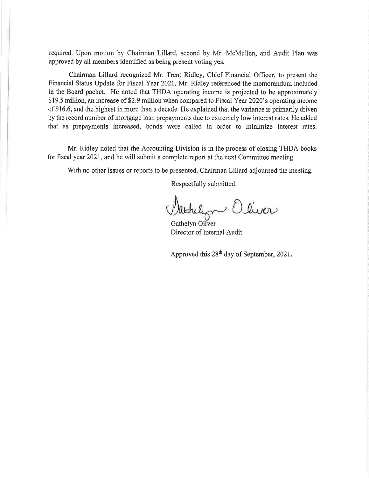required. Upon motion by Chairman Lillard, second by Mr. McMullen, and Audit Plan was approved by all members identified as being present voting yes.

Chairman Lillard recognized Mr, Trent Ridley, Chief Financial Oflicer, to present the Financial Status Update for Fiscal Yeat 2021, Mr. Ridley referenced the memorandum included in the Board packet. He noted that THDA operating income is projected to be approximately \$19.5 million, an increase of \$2.9 million when compared to Fiscal Year 2020's operating income of \$16,6, and the highest in more than a decade. He explained that the variance is primarily driven by the record number of mortgage loan prepayments due to extremely low interest rates. He added that as prepayments increased, bonds were called in order to minimize interest rates.

Mr. Ridley noted that the Accounting Division is in the process of closing THDA books for fiscal year 2021, and he will submit a complete report at the next Committee meeting.

With no other issues or reports to be presented, Chairman Lillard adjourned the meeting.

Respectfully submitted,

athelyn Oliver

Gathelyn Director of Internal Audit

Approved this  $28^{th}$  day of September, 2021.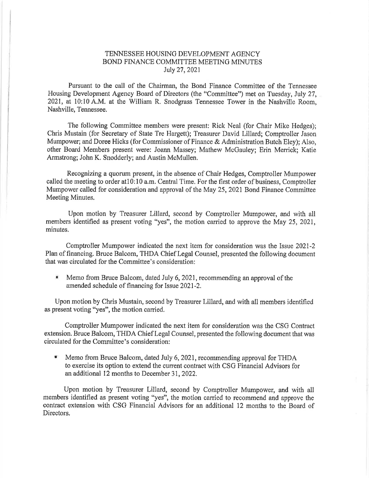## TENNESSEE HOUSING DEVELOPMENT AGENCY BOND FINANCE COMMITTEE MEETING MINUTES Iuly 27,2021

Pursuant to the call of the Chairman, the Bond Finance Committee of the Tennessee Housing Development Agency Board of Directors (the "Committee") met on Tuesday, July 27, 2021, at 10:10 A.M, at the William R. Snodgrass Tennessee Tower in the Nashville Room, Nashville, Tennessee.

The following Committee members were present: Rick Neal (for Chair Mike Hedges); Chris Mustain (for Secretary of State Tre Hargett); Treasurer David Lillard; Comptroller Jason Mumpower; and Doree Hicks (for Commissioner of Finance & Administration Butch Eley); Also, other Board Members present were: Joann Massey; Mathew McGauley; Erin Menick; Katie Armstrong; John K. Snodderly; and Austin McMullen.

Recognizing a quorum present, in the absence of Chair Hedges, Comptroller Mumpower called the meeting to order atl0:10 a.m. Central Time. For the first order of business, Comptroller Mumpower called for consideration and approval of the May 25,2021 Bond Finance Committee Meeting Minutes,

Upon motion by Treasurer Lillard, second by Comptroller Mumpower, and with all members identified as present voting "yes", the motion carried to approve the May 25,2021, minutes,

Comptroller Mumpower indicated the next item for consideration was the Issue 2021-2 Plan of financing. Bruce Balcom, THDA Chief Legal Counsel, presented the following document that was circulated for the Committee's consideration:

Memo from Bruce Balcom, dated July 6, 2021, recommending an approval of the amended schedule of financing for Issue 2021-2. I

Upon motion by Chris Mustain, second by Treasurer Lillard, and with all members identified as present voting "yes", the motion carried.

Comptroller Mumpower indicated the next item for consideration was the CSG Contract extension. Bruce Baloom, THDA Chief Legal Counsel, presented the following document that was circulated for the Committee's consideration:

Memo from Bruce Balcom, dated July 6, 2021, recommending approval for THDA to exercise its option to extend the current contract with CSG Financial Advisors for an additional 12 months to December 3I,2022.

Upon motion by Treasurer Lillard, second by Comptroller Mumpower, and with all members identified as present voting "yes", the motion carried to recommend and approve the contract extension with CSG Financial Advisors for an additional 12 months to the Board of Directors.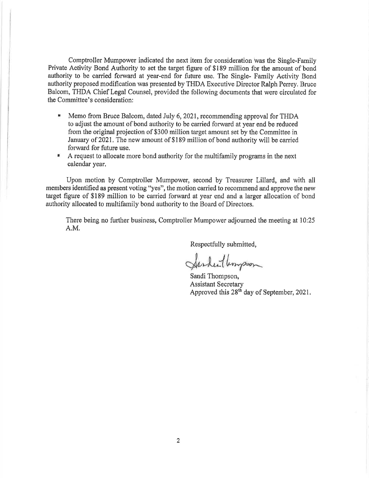Comptroller Mumpower indicated the next item for consideration was the Single-Family Private Activity Bond Authority to set the target figure of \$189 million for the amount of bond authority to be carried forward at year-end for future use. The Single- Family Activity Bond authority proposed modifrcation was presented by THDA Executive Director Ralph Perey. Bruce Balcom, THDA Chief Legal Counsel, provided the following documents that were circulated for the Committee's consideration:

- Memo from Bruce Balcom, dated July 6,2021, recommending approval for THDA to adjust the amount of bond authority to be carried forward at year end be reduced from the original projection of \$300 million target amount set by the Committee in Jannary of 2021, The new amount of \$189 million of bond authority will be carried forward for future use. ii
- $\pmb{u}$ A request to allocate more bond authority for the multifamily programs in the next oalendar year,

Upon motion by Comptroller Mumpower, second by Treasurer Lillard, and with all members identified as present voting "yes", the motion carried to recommend and approve the new target figure of \$189 million to be carried forward at year end and a larger allocation of bond authority allocated to multifamily bond authority to the Board of Directors.

There being no further business, Comptroller Mumpower adjourned the meeting at 10:25 A.M.

Respectfully submitted,

Sarden Umpson

Sandi Thompson, Assistant Secretary Approved this 28th day of September, 2021.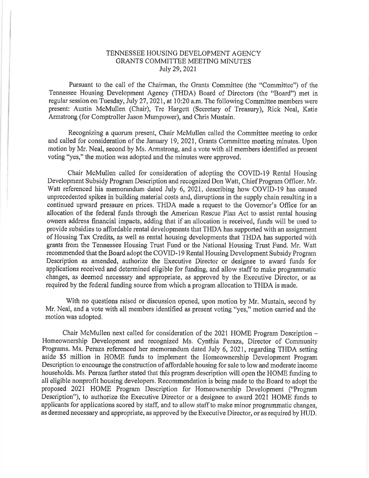#### TENNESSEE HOUSING DEVELOPMENT AGENCY GRANTS COMMITTEE MEETING MINUTES July 29,2021

Pursuant to the call of the Chairman, the Grants Committee (the "Committee") of the Tennessee Housing Development Agency (THDA) Board of Directors (the "Board") met in regular session on Tuesday, July 27, 2021, at 10:20 a.m. The following Committee members were present: Austin McMullen (Chair), Tre Hargett (Secretary of Treasury), Rick Neal, Katie Armstrong (for Comptroller Jason Mumpower), and Chris Mustain.

Recognizing a quorum present, Chair McMullen called the Committee meeting to order and called for consideration of the January 19,2021, Grants Committee meeting minutes. Upon motion by Mr. Neal, second by Ms. Armstrong, and a vote with all members identified as present voting "yes," the motion was adopted and the minutes were approved,

Chair McMullen oalled for consideration of adopting the COVID-l9 Rental Housing Development Subsidy Program Description and recognized Don Watt, Chief Program Officer, Mr. Watt referenced his memorandum dated July 6, 2021, describing how COVID-19 has caused unprecedented spikes in building material costs and, disruptions in the supply chain resulting in a continued upward pressure on prices. THDA made a request to the Governor's Office for an allocation of the federal funds through the American Rescue Plan Act to assist rental housing owners address financial impacts, adding that if an allocation is received, funds will be used to provide subsidies to affordable rental developments that THDA has supported with an assignment of Housing Tax Credits, as well as rental housing developments that THDA has supported with grants from the Tennessee Housing Trust Fund or the National Housing Trust Fund. Mr. Watt recommended that the Board adopt the COVID-I9 Rental Housing Development Subsidy Program Description as amended, authorize the Executive Director or designee to award funds for applications received and determined eligible for funding, and allow staff to make programmatic changes, as deemed necessary and appropriate, as approved by the Executive Director, or as required by the federal funding source from which a program allocation to THDA is made.

With no questions raised or discussion opened, upon motion by Mr. Mustain, second by Mr. Neal, and a vote with all members identified as present voting "yes," motion camied and the motion was adopted.

Chair McMullen next called for consideration of the 2021 HOME Program Description - Homeownership Development and recognized Ms. Cynthia Peraza, Director of Community Programs. Ms. Peraza referenced her memorandum dated July 6, 2021, regarding THDA setting aside \$5 million in HOME funds to implement the Homeownership Development Program Description to encourage the construction of affordable housing for sale to low and moderate income households. Ms. Peraza further stated that this program description will open the HOME funding to all eligible nonprofit housing developers, Recommendation is being made to the Board to adopt the proposed 2021 HOME Program Description for Homeownership Development ("Program Description"), to authorize the Executive Director or a designee to award 2021 HOME funds to applicants for applications scored by staff, and to allow staff to make minor programmatic changes, as deemed necessaxy and appropriate, as approved by the Executive Director, or as required by HUD,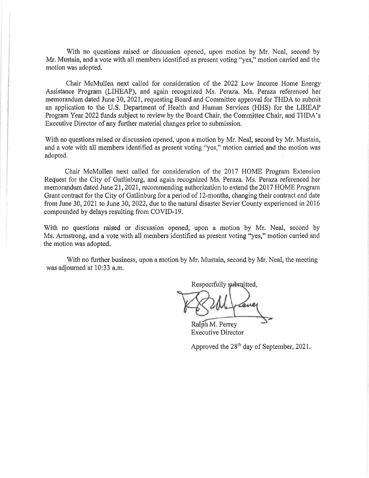With no questions raised or discussion opened, upon motion by Mr. Neal, second by Mr. Mustain, and a vote with all members identified as present voting "yes," motion carried and the motion was adopted,

Chair McMullen next called for sonsideration of the 2022 Low Income Home Energy Assistance Program (LIHEAP), and again recognized Ms. Peraza. Ms. Peraza referenced her memorandum dated June 30,2021, requesting Board and Committee approval for TFIDA to submit an application to the U.S. Department of Health and Human Services (HHS) for the LIHEAP Program Year 2022 funds subject to review by the Board Chair, the Committee Chair, and THDA's Executive Director of any further material changes prior to submission.

With no questions raised or discussion opened, upon a motion by Mr. Neal, second by Mr. Mustain, and a vote with all members identified as present voting "yes," motion carried and the motion was adopted.

Chair McMullen next called for consideration of the 2017 HOME Program Extension Request for the City of Gatlinburg, and again recognized Ms. Peraza. Ms. Peraza referenced her memorandum dated June 21, 2021, recommending authorization to extend the 2017 HOME Program Grant contract for the City of Gatlinburg for a period of l2-months, changing their contract end date from June 30, 2021 to June 30, 2022, due to the natural disaster Sevier County experienced in 2016 compounded by delays resulting from COVID-i9.

With no questions raised or discussion opened, upon a motion by Mr. Neal, second by Ms. Armstrong, and a vote with all members identified as present voting "yes," motion carried and the motion was adopted,

With no further business, upon a motion by Mr. Mustain, second by Mr. Neal, the meeting was adjourned at 10:33 a.m.

Respectfully submitted,

Ralph M. Perrey Executive Director

Approved the 28th day of September, 2021.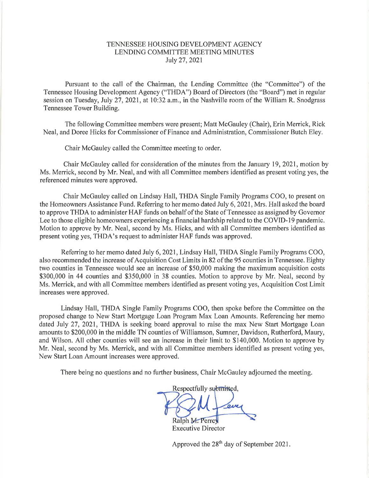## TENNESSEE HOUSING DEVELOPMENT AGENCY LENDING COMMITTEE MEETING MINUTES July 27,2021

Pursuant to the call of the Chairman, the Lending Committee (the "Committee") of the Tennessee Housing Development Agency ("THDA") Board of Directors (the "Board") met in regular session on Tuesday, July 27, 2021, at 10:32 a.m., in the Nashville room of the William R. Snodgrass Tennessee Tower Building.

The following Committee members were present; Matt McGauley (Chair), Erin Merrick, Rick Neal, and Doree Hicks for Commissioner of Finance and Administration, Commissioner Butch Eley.

Chair McGauley called the Committee meeting to order.

Chair McGauley called for consideration of the minutes from the January 19, 2021, motion by Ms. Merrick, second by Mr. Neal, and with all Committee members identified as present voting yes, the referenced minutes were approved.

Chair McGauley called on Lindsay Hall, THDA Single Family Programs COO, to present on the Homeowners Assistance Fund. Referring to her memo dated July 6,2021, Mrs. Hall asked the board to approve THDA to administer HAF funds on behalf of the State of Tennessee as assigned by Governor Lee to those eligible homeowners experiencing a financial hardship related to the COVID-19 pandemic. Motion to approve by Mr. Neal, second by Ms. Hicks, and with all Committee members identified as present voting yes, THDA's request to administer HAF funds was approved.

Refening to her memo dated July 6,2021, Lindsay Hall, THDA Single Family Programs COO, also recommended the increase of Acquisition Cost Limits in 82 of the 95 counties in Tennessee. Eighty two counties in Tennessee would see an increase of \$50,000 making the maximum acquisition costs \$300,000 in 44 counties and \$350,000 in 38 counties. Motion to approve by Mr. Neal, second by Ms. Merrick, and with all Committee members identified as present voting yes, Acquisition Cost Limit increases were approved.

Lindsay Hall, THDA Single Family Programs COO, then spoke before the Committee on the proposed change to New Start Mortgage Loan Program Max Loan Amounts. Referencing her memo dated July 27,2021, THDA is seeking board approval to raise the max New Start Mortgage Loan amounts to \$200,000 in the middle TN counties of Williamson, Sumner, Davidson, Rutherford, Maury, and Wilson. All other counties will see an increase in their limit to \$140,000. Motion to approve by Mr. Neal, second by Ms. Merrick, and with all Committee members identified as present voting yes, New Start Loan Amount increases were approved.

There being no questions and no further business, Chair McGauley adjourned the meeting.

Respectfully submitted,  ${\cal M}$ Ralph M. Perrey

Executive Director

Approved the  $28<sup>th</sup>$  day of September 2021.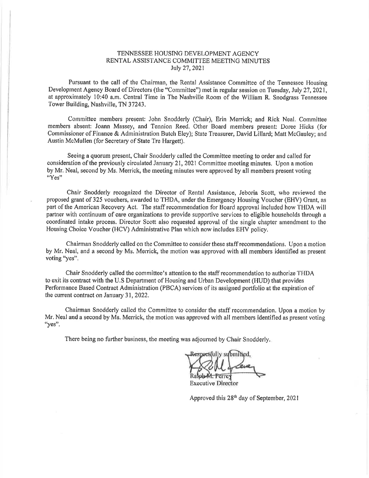#### TENNESSEE HOUSINC DEVELOPMENT ACENCY RENTAL ASSISTANCE COMMITTEE MEETING MINUTES July 27,2021

Pursuant to the call of the Chairman, the Rental Assistance Committee of the Tennessee Housing Development Agency Board of Directors (the "Committee") met in regular session on Tuesday, July 27, 2021, at approximately 10:40 a.m. Central Time in The Nashville Room of the William R, Snodgrass Tennessee Tower Building, Nashville, TN 37243.

Committee members present: John Snodderly (Chair), Erin Merrick; and Rick Neal, Cornmittee members absent: Joann Massey, and Tennion Reed. Other Board members present: Doree Hicks (for Commissioner of Finance & Administration Butch Eley); State Treasurer, David Lillard: Matt McGauley; and Austin McMullen (for Secretary of State Tre Hargett).

Seeing a quorum present, Chair Snodderly called the Committee meeting to order and called for consideration of the previously circulated January 21, 2021 Committee meeting minutes. Upon a motion by Mr, Neal, second by Ms. Merick, the meeting minutes were approved by all members present voting "Yes"

Chair Snodderly recognized the Director of Rental Assistance, Jeboria Scott, who reviewed the proposed grant of 325 vouchers, awarded to THDA, under the Emergency Housing Voucher (EHV) Grant, as part of the American Recovery Act. The staff recommendation for Board approval included how THDA will partner with continuum of care organizations to provide supportive services to eligible households through a coordinated intake process. Director Scott also requested approval of the single chapter amendment to the Housing Choice Voucher (HCV) Administrative Plan which now includes EHV policy.

Chainnan Snodderly called on the Committee to consider these staff recommendations. Upon a motion by Mr. Neal, and a second by Ms. Merick, the motion was approved with all members identified as present voting "yes".

Chair Snodderly called the committee's attention to the staff recommendation to authorize THDA to exit its contract with the U.S Department of Housing and Urban Development (HUD) that provides Performance Based Contrast Administration (PBCA) services of its assigned portfolio at the expiration of the current contract on January 31, 2022.

Chairman Snodderly called the Committee to consider the staff recommendation. Upon a motion by Mr. Neal and a second by Ms. Merrick, the motion was approved with all members identified as present voting "yes".

There being no further business, the meeting was adjourned by Chair Snodderly.

pectfully submitted. Perre.

**Executive Director** 

Approved this 28<sup>th</sup> day of September, 2021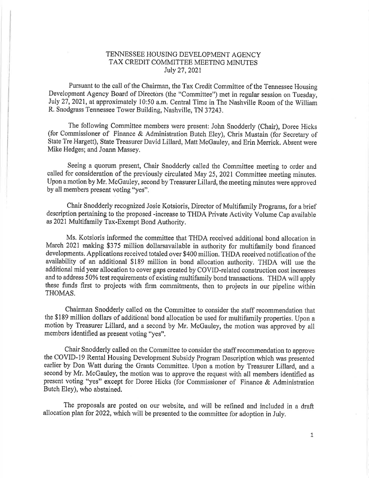## TENNESSEE HOUSING DEVELOPMENT AGENCY TAX CREDIT COMMITTEE MEETING MINUTES Iuly 27,2021

Pursuant to the call of the Chairman, the Tax Credit Committee of the Tennessee Housing Development Agency Board of Directors (the "Committee") met in regular session on Tuesday, July 27,2021, at approximately l0:50 a.m. Central Time in The Nashville Room of the William R. Snodgrass Tennessee Tower Building, Nashville, TN 32243.

The following Committee members were present: John Snodderly (Chair), Doree Hicks (for Commissioner of Finance & Administration Butch Eley), Chris Mustain (for Secretary of State Tre Hargett), State Treasurer David Lillard, Matt McGauley, and Erin Merrick, Absent were Mike Hedges; and Joann Massey.

Seeing a quorum present, Chair Snodderly called the Committee meeting to order and called for consideration of the previously circulated May 25, 2021 Committee meeting minutes. Upon a motion by Mr, McGauley, second by Treasurer Lillard, the meeting minutes were approved by all members present voting "yes".

Chair Snodderly recognized Josie Kotsioris, Director of Multifamily Programs, for a brief description pertaining to the proposed -increase to THDA Private Activity Volume Cap available as 2021 Multifamily Tax-Exempt Bond Authority.

Ms. Kotsioris informed the committee that THDA received additional bond allocation in March 2021 making \$375 million dollarsavailable in authority for multifamily bond financed developments. Applications received totaled over \$400 million. THDA received notification of the availability of an additional \$189 million in bond allocation authority. THDA will use the additional mid year allocation to cover gaps created by COVID-related construction cost increases and to address 50% test requirements of existing multifamily bond transastions, THDA will apply these funds first to projects with firm commitments, then to projects in our pipeline within THOMAS.

Chairman Snodderly called on the Committee to consider the staff recommendation that the \$189 million dollars of additional bond allocation be used for multifamily properties. Upon <sup>a</sup> motion by Treasurer Lillard, and a second by Mr. McGauley, the motion was approved by all members identified as present voting "yes".

Chair Snodderly called on the Committee to consider the staff recommendation to approve the COVID-I9 Rental Housing Development Subsidy Program Description which was presented earlier by Don Watt during the Grants Committee. Upon a motion by Treasurer Lillard, and <sup>a</sup> second by Mr. McGauley, the motion was to approve the request with all members identified as present voting "yes" except for Doree Hicks (for Commissioner of Finance & Administration Butch Eley), who abstained.

The proposals are posted on our website, and will be refined and included in a draft allocation plan for 2022, which will be presented to the committee for adoption in July.